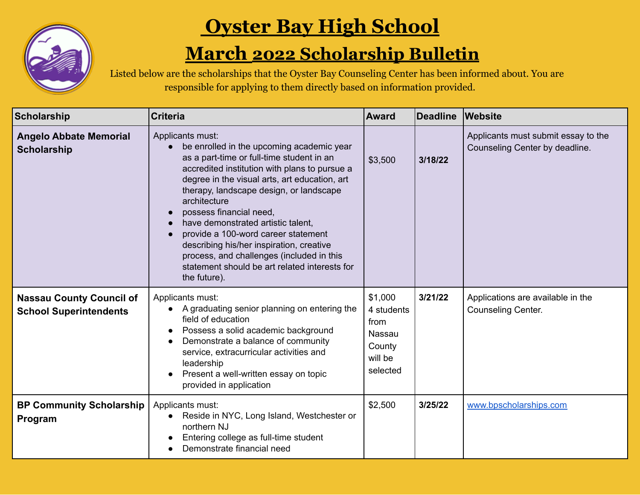

## **Oyster Bay High School**

## **March 2022 Scholarship Bulletin**

Listed below are the scholarships that the Oyster Bay Counseling Center has been informed about. You are responsible for applying to them directly based on information provided.

| <b>Scholarship</b>                                               | <b>Criteria</b>                                                                                                                                                                                                                                                                                                                                                                                                                                                                                                                           | <b>Award</b>                                                             | Deadline | <b>Website</b>                                                        |
|------------------------------------------------------------------|-------------------------------------------------------------------------------------------------------------------------------------------------------------------------------------------------------------------------------------------------------------------------------------------------------------------------------------------------------------------------------------------------------------------------------------------------------------------------------------------------------------------------------------------|--------------------------------------------------------------------------|----------|-----------------------------------------------------------------------|
| <b>Angelo Abbate Memorial</b><br><b>Scholarship</b>              | Applicants must:<br>be enrolled in the upcoming academic year<br>as a part-time or full-time student in an<br>accredited institution with plans to pursue a<br>degree in the visual arts, art education, art<br>therapy, landscape design, or landscape<br>architecture<br>possess financial need,<br>have demonstrated artistic talent,<br>provide a 100-word career statement<br>describing his/her inspiration, creative<br>process, and challenges (included in this<br>statement should be art related interests for<br>the future). | \$3,500                                                                  | 3/18/22  | Applicants must submit essay to the<br>Counseling Center by deadline. |
| <b>Nassau County Council of</b><br><b>School Superintendents</b> | Applicants must:<br>A graduating senior planning on entering the<br>field of education<br>Possess a solid academic background<br>Demonstrate a balance of community<br>service, extracurricular activities and<br>leadership<br>Present a well-written essay on topic<br>provided in application                                                                                                                                                                                                                                          | \$1,000<br>4 students<br>from<br>Nassau<br>County<br>will be<br>selected | 3/21/22  | Applications are available in the<br>Counseling Center.               |
| <b>BP Community Scholarship</b><br>Program                       | Applicants must:<br>Reside in NYC, Long Island, Westchester or<br>northern NJ<br>Entering college as full-time student<br>Demonstrate financial need                                                                                                                                                                                                                                                                                                                                                                                      | \$2,500                                                                  | 3/25/22  | www.bpscholarships.com                                                |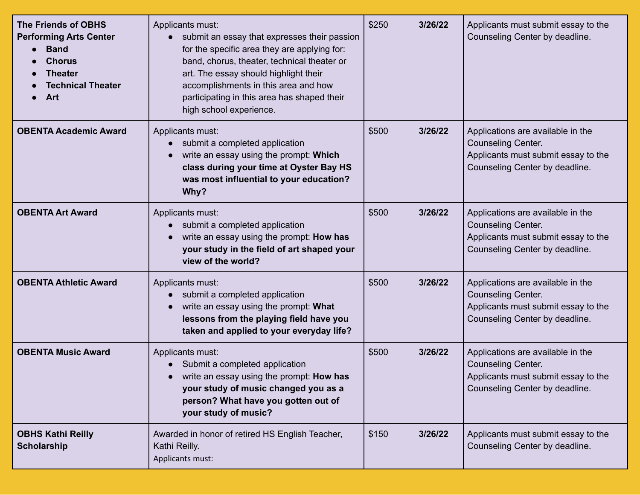| <b>The Friends of OBHS</b><br><b>Performing Arts Center</b><br><b>Band</b><br><b>Chorus</b><br><b>Theater</b><br><b>Technical Theater</b><br>Art | Applicants must:<br>submit an essay that expresses their passion<br>for the specific area they are applying for:<br>band, chorus, theater, technical theater or<br>art. The essay should highlight their<br>accomplishments in this area and how<br>participating in this area has shaped their<br>high school experience. | \$250 | 3/26/22 | Applicants must submit essay to the<br>Counseling Center by deadline.                                                                   |
|--------------------------------------------------------------------------------------------------------------------------------------------------|----------------------------------------------------------------------------------------------------------------------------------------------------------------------------------------------------------------------------------------------------------------------------------------------------------------------------|-------|---------|-----------------------------------------------------------------------------------------------------------------------------------------|
| <b>OBENTA Academic Award</b>                                                                                                                     | Applicants must:<br>submit a completed application<br>write an essay using the prompt: Which<br>class during your time at Oyster Bay HS<br>was most influential to your education?<br>Why?                                                                                                                                 | \$500 | 3/26/22 | Applications are available in the<br><b>Counseling Center.</b><br>Applicants must submit essay to the<br>Counseling Center by deadline. |
| <b>OBENTA Art Award</b>                                                                                                                          | Applicants must:<br>submit a completed application<br>$\bullet$<br>write an essay using the prompt: How has<br>your study in the field of art shaped your<br>view of the world?                                                                                                                                            | \$500 | 3/26/22 | Applications are available in the<br>Counseling Center.<br>Applicants must submit essay to the<br>Counseling Center by deadline.        |
| <b>OBENTA Athletic Award</b>                                                                                                                     | Applicants must:<br>submit a completed application<br>write an essay using the prompt: What<br>lessons from the playing field have you<br>taken and applied to your everyday life?                                                                                                                                         | \$500 | 3/26/22 | Applications are available in the<br><b>Counseling Center.</b><br>Applicants must submit essay to the<br>Counseling Center by deadline. |
| <b>OBENTA Music Award</b>                                                                                                                        | Applicants must:<br>Submit a completed application<br>write an essay using the prompt: How has<br>your study of music changed you as a<br>person? What have you gotten out of<br>your study of music?                                                                                                                      | \$500 | 3/26/22 | Applications are available in the<br><b>Counseling Center.</b><br>Applicants must submit essay to the<br>Counseling Center by deadline. |
| <b>OBHS Kathi Reilly</b><br><b>Scholarship</b>                                                                                                   | Awarded in honor of retired HS English Teacher,<br>Kathi Reilly.<br>Applicants must:                                                                                                                                                                                                                                       | \$150 | 3/26/22 | Applicants must submit essay to the<br>Counseling Center by deadline.                                                                   |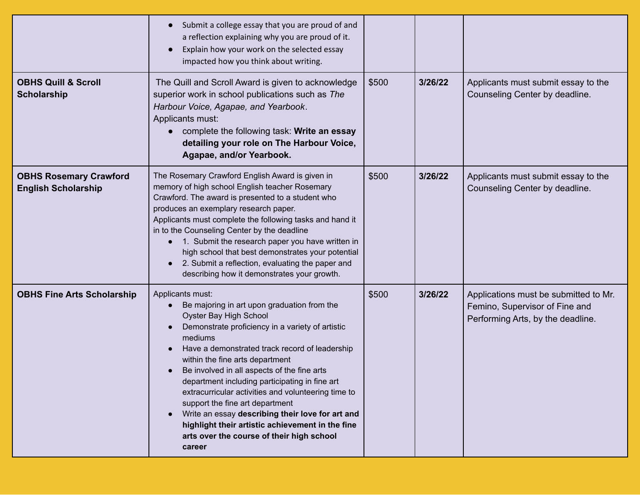|                                                             | Submit a college essay that you are proud of and<br>$\bullet$<br>a reflection explaining why you are proud of it.<br>Explain how your work on the selected essay<br>$\bullet$<br>impacted how you think about writing.                                                                                                                                                                                                                                                                                                                                                                                  |       |         |                                                                                                              |
|-------------------------------------------------------------|---------------------------------------------------------------------------------------------------------------------------------------------------------------------------------------------------------------------------------------------------------------------------------------------------------------------------------------------------------------------------------------------------------------------------------------------------------------------------------------------------------------------------------------------------------------------------------------------------------|-------|---------|--------------------------------------------------------------------------------------------------------------|
| <b>OBHS Quill &amp; Scroll</b><br><b>Scholarship</b>        | The Quill and Scroll Award is given to acknowledge<br>superior work in school publications such as The<br>Harbour Voice, Agapae, and Yearbook.<br>Applicants must:<br>complete the following task: Write an essay<br>detailing your role on The Harbour Voice,<br>Agapae, and/or Yearbook.                                                                                                                                                                                                                                                                                                              | \$500 | 3/26/22 | Applicants must submit essay to the<br>Counseling Center by deadline.                                        |
| <b>OBHS Rosemary Crawford</b><br><b>English Scholarship</b> | The Rosemary Crawford English Award is given in<br>memory of high school English teacher Rosemary<br>Crawford. The award is presented to a student who<br>produces an exemplary research paper.<br>Applicants must complete the following tasks and hand it<br>in to the Counseling Center by the deadline<br>1. Submit the research paper you have written in<br>$\bullet$<br>high school that best demonstrates your potential<br>2. Submit a reflection, evaluating the paper and<br>$\bullet$<br>describing how it demonstrates your growth.                                                        | \$500 | 3/26/22 | Applicants must submit essay to the<br>Counseling Center by deadline.                                        |
| <b>OBHS Fine Arts Scholarship</b>                           | Applicants must:<br>Be majoring in art upon graduation from the<br>Oyster Bay High School<br>Demonstrate proficiency in a variety of artistic<br>mediums<br>Have a demonstrated track record of leadership<br>within the fine arts department<br>Be involved in all aspects of the fine arts<br>department including participating in fine art<br>extracurricular activities and volunteering time to<br>support the fine art department<br>Write an essay describing their love for art and<br>highlight their artistic achievement in the fine<br>arts over the course of their high school<br>career | \$500 | 3/26/22 | Applications must be submitted to Mr.<br>Femino, Supervisor of Fine and<br>Performing Arts, by the deadline. |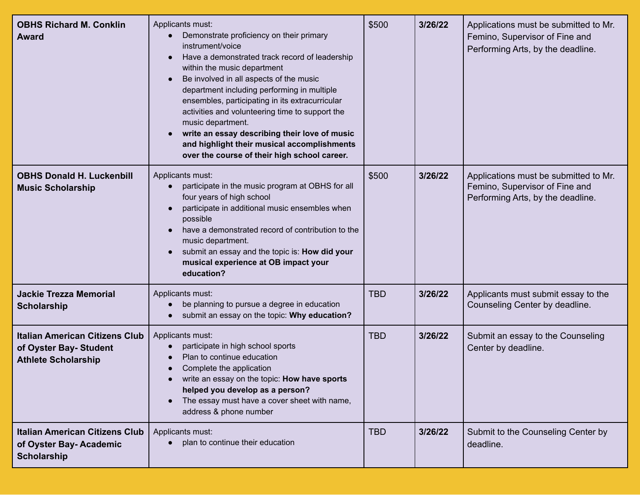| <b>OBHS Richard M. Conklin</b><br><b>Award</b>                                                | Applicants must:<br>Demonstrate proficiency on their primary<br>instrument/voice<br>Have a demonstrated track record of leadership<br>within the music department<br>Be involved in all aspects of the music<br>department including performing in multiple<br>ensembles, participating in its extracurricular<br>activities and volunteering time to support the<br>music department.<br>write an essay describing their love of music<br>and highlight their musical accomplishments<br>over the course of their high school career. | \$500      | 3/26/22 | Applications must be submitted to Mr.<br>Femino, Supervisor of Fine and<br>Performing Arts, by the deadline. |
|-----------------------------------------------------------------------------------------------|----------------------------------------------------------------------------------------------------------------------------------------------------------------------------------------------------------------------------------------------------------------------------------------------------------------------------------------------------------------------------------------------------------------------------------------------------------------------------------------------------------------------------------------|------------|---------|--------------------------------------------------------------------------------------------------------------|
| <b>OBHS Donald H. Luckenbill</b><br><b>Music Scholarship</b>                                  | Applicants must:<br>participate in the music program at OBHS for all<br>$\bullet$<br>four years of high school<br>participate in additional music ensembles when<br>possible<br>have a demonstrated record of contribution to the<br>music department.<br>submit an essay and the topic is: How did your<br>musical experience at OB impact your<br>education?                                                                                                                                                                         | \$500      | 3/26/22 | Applications must be submitted to Mr.<br>Femino, Supervisor of Fine and<br>Performing Arts, by the deadline. |
| <b>Jackie Trezza Memorial</b><br><b>Scholarship</b>                                           | Applicants must:<br>be planning to pursue a degree in education<br>submit an essay on the topic: Why education?                                                                                                                                                                                                                                                                                                                                                                                                                        | <b>TBD</b> | 3/26/22 | Applicants must submit essay to the<br>Counseling Center by deadline.                                        |
| <b>Italian American Citizens Club</b><br>of Oyster Bay- Student<br><b>Athlete Scholarship</b> | Applicants must:<br>participate in high school sports<br>$\bullet$<br>Plan to continue education<br>Complete the application<br>write an essay on the topic: <b>How have sports</b><br>helped you develop as a person?<br>The essay must have a cover sheet with name,<br>address & phone number                                                                                                                                                                                                                                       | <b>TBD</b> | 3/26/22 | Submit an essay to the Counseling<br>Center by deadline.                                                     |
| <b>Italian American Citizens Club</b><br>of Oyster Bay- Academic<br><b>Scholarship</b>        | Applicants must:<br>plan to continue their education                                                                                                                                                                                                                                                                                                                                                                                                                                                                                   | <b>TBD</b> | 3/26/22 | Submit to the Counseling Center by<br>deadline.                                                              |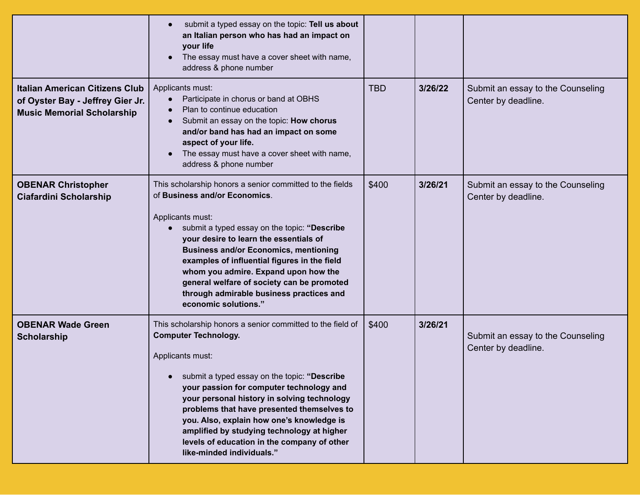|                                                                                                                | submit a typed essay on the topic: Tell us about<br>$\bullet$<br>an Italian person who has had an impact on<br>your life<br>The essay must have a cover sheet with name,<br>address & phone number                                                                                                                                                                                                                                                                            |            |         |                                                          |
|----------------------------------------------------------------------------------------------------------------|-------------------------------------------------------------------------------------------------------------------------------------------------------------------------------------------------------------------------------------------------------------------------------------------------------------------------------------------------------------------------------------------------------------------------------------------------------------------------------|------------|---------|----------------------------------------------------------|
| <b>Italian American Citizens Club</b><br>of Oyster Bay - Jeffrey Gier Jr.<br><b>Music Memorial Scholarship</b> | Applicants must:<br>Participate in chorus or band at OBHS<br>$\bullet$<br>Plan to continue education<br>Submit an essay on the topic: How chorus<br>and/or band has had an impact on some<br>aspect of your life.<br>The essay must have a cover sheet with name,<br>address & phone number                                                                                                                                                                                   | <b>TBD</b> | 3/26/22 | Submit an essay to the Counseling<br>Center by deadline. |
| <b>OBENAR Christopher</b><br><b>Ciafardini Scholarship</b>                                                     | This scholarship honors a senior committed to the fields<br>of Business and/or Economics.<br>Applicants must:<br>submit a typed essay on the topic: "Describe<br>your desire to learn the essentials of<br><b>Business and/or Economics, mentioning</b><br>examples of influential figures in the field<br>whom you admire. Expand upon how the<br>general welfare of society can be promoted<br>through admirable business practices and<br>economic solutions."             | \$400      | 3/26/21 | Submit an essay to the Counseling<br>Center by deadline. |
| <b>OBENAR Wade Green</b><br><b>Scholarship</b>                                                                 | This scholarship honors a senior committed to the field of<br><b>Computer Technology.</b><br>Applicants must:<br>submit a typed essay on the topic: "Describe<br>your passion for computer technology and<br>your personal history in solving technology<br>problems that have presented themselves to<br>you. Also, explain how one's knowledge is<br>amplified by studying technology at higher<br>levels of education in the company of other<br>like-minded individuals." | \$400      | 3/26/21 | Submit an essay to the Counseling<br>Center by deadline. |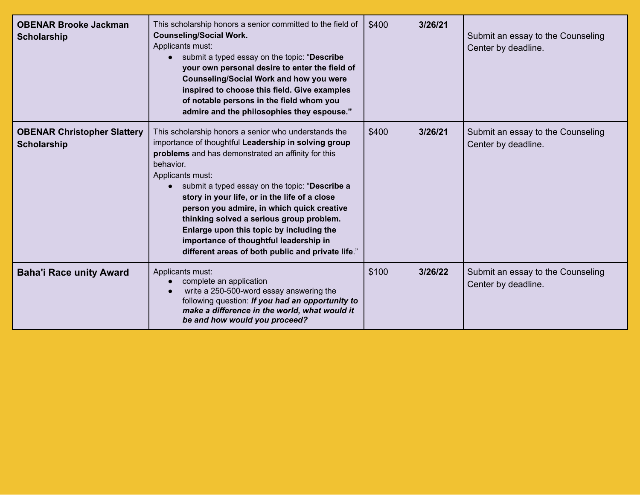| <b>OBENAR Brooke Jackman</b><br><b>Scholarship</b>       | This scholarship honors a senior committed to the field of<br><b>Counseling/Social Work.</b><br>Applicants must:<br>submit a typed essay on the topic: "Describe<br>your own personal desire to enter the field of<br><b>Counseling/Social Work and how you were</b><br>inspired to choose this field. Give examples<br>of notable persons in the field whom you<br>admire and the philosophies they espouse."                                                                                                                              | \$400 | 3/26/21 | Submit an essay to the Counseling<br>Center by deadline. |
|----------------------------------------------------------|---------------------------------------------------------------------------------------------------------------------------------------------------------------------------------------------------------------------------------------------------------------------------------------------------------------------------------------------------------------------------------------------------------------------------------------------------------------------------------------------------------------------------------------------|-------|---------|----------------------------------------------------------|
| <b>OBENAR Christopher Slattery</b><br><b>Scholarship</b> | This scholarship honors a senior who understands the<br>importance of thoughtful Leadership in solving group<br>problems and has demonstrated an affinity for this<br>behavior.<br>Applicants must:<br>submit a typed essay on the topic: "Describe a<br>story in your life, or in the life of a close<br>person you admire, in which quick creative<br>thinking solved a serious group problem.<br>Enlarge upon this topic by including the<br>importance of thoughtful leadership in<br>different areas of both public and private life." | \$400 | 3/26/21 | Submit an essay to the Counseling<br>Center by deadline. |
| <b>Baha'i Race unity Award</b>                           | Applicants must:<br>complete an application<br>write a 250-500-word essay answering the<br>following question: If you had an opportunity to<br>make a difference in the world, what would it<br>be and how would you proceed?                                                                                                                                                                                                                                                                                                               | \$100 | 3/26/22 | Submit an essay to the Counseling<br>Center by deadline. |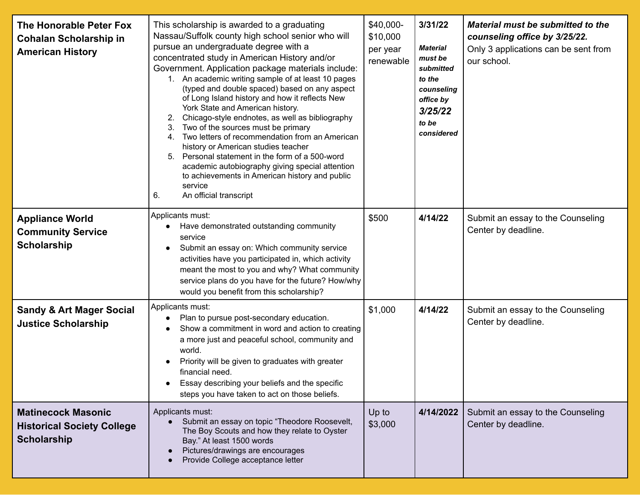| The Honorable Peter Fox<br><b>Cohalan Scholarship in</b><br><b>American History</b>  | This scholarship is awarded to a graduating<br>Nassau/Suffolk county high school senior who will<br>pursue an undergraduate degree with a<br>concentrated study in American History and/or<br>Government. Application package materials include:<br>1. An academic writing sample of at least 10 pages<br>(typed and double spaced) based on any aspect<br>of Long Island history and how it reflects New<br>York State and American history.<br>Chicago-style endnotes, as well as bibliography<br>Two of the sources must be primary<br>3.<br>4. Two letters of recommendation from an American<br>history or American studies teacher<br>5. Personal statement in the form of a 500-word<br>academic autobiography giving special attention<br>to achievements in American history and public<br>service<br>An official transcript<br>6. | \$40,000-<br>\$10,000<br>per year<br>renewable | 3/31/22<br><b>Material</b><br>must be<br>submitted<br>to the<br>counseling<br>office by<br>3/25/22<br>to be<br>considered | Material must be submitted to the<br>counseling office by 3/25/22.<br>Only 3 applications can be sent from<br>our school. |
|--------------------------------------------------------------------------------------|---------------------------------------------------------------------------------------------------------------------------------------------------------------------------------------------------------------------------------------------------------------------------------------------------------------------------------------------------------------------------------------------------------------------------------------------------------------------------------------------------------------------------------------------------------------------------------------------------------------------------------------------------------------------------------------------------------------------------------------------------------------------------------------------------------------------------------------------|------------------------------------------------|---------------------------------------------------------------------------------------------------------------------------|---------------------------------------------------------------------------------------------------------------------------|
| <b>Appliance World</b><br><b>Community Service</b><br><b>Scholarship</b>             | Applicants must:<br>Have demonstrated outstanding community<br>service<br>Submit an essay on: Which community service<br>activities have you participated in, which activity<br>meant the most to you and why? What community<br>service plans do you have for the future? How/why<br>would you benefit from this scholarship?                                                                                                                                                                                                                                                                                                                                                                                                                                                                                                              | \$500                                          | 4/14/22                                                                                                                   | Submit an essay to the Counseling<br>Center by deadline.                                                                  |
| <b>Sandy &amp; Art Mager Social</b><br><b>Justice Scholarship</b>                    | Applicants must:<br>Plan to pursue post-secondary education.<br>$\bullet$<br>Show a commitment in word and action to creating<br>a more just and peaceful school, community and<br>world.<br>Priority will be given to graduates with greater<br>financial need.<br>Essay describing your beliefs and the specific<br>steps you have taken to act on those beliefs.                                                                                                                                                                                                                                                                                                                                                                                                                                                                         | \$1,000                                        | 4/14/22                                                                                                                   | Submit an essay to the Counseling<br>Center by deadline.                                                                  |
| <b>Matinecock Masonic</b><br><b>Historical Society College</b><br><b>Scholarship</b> | Applicants must:<br>Submit an essay on topic "Theodore Roosevelt,<br>The Boy Scouts and how they relate to Oyster<br>Bay." At least 1500 words<br>Pictures/drawings are encourages<br>Provide College acceptance letter                                                                                                                                                                                                                                                                                                                                                                                                                                                                                                                                                                                                                     | Up to<br>\$3,000                               | 4/14/2022                                                                                                                 | Submit an essay to the Counseling<br>Center by deadline.                                                                  |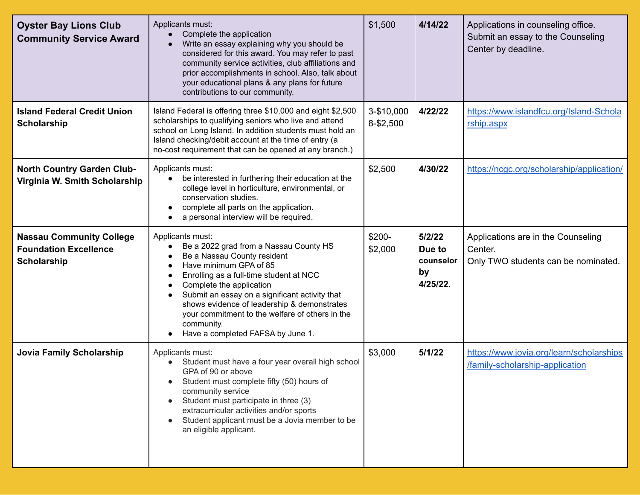| <b>Oyster Bay Lions Club</b><br><b>Community Service Award</b>                        | Applicants must:<br>Complete the application<br>Write an essay explaining why you should be<br>considered for this award. You may refer to past<br>community service activities, club affiliations and<br>prior accomplishments in school. Also, talk about<br>your educational plans & any plans for future<br>contributions to our community.                                                   | \$1,500                 | 4/14/22                                         | Applications in counseling office.<br>Submit an essay to the Counseling<br>Center by deadline. |
|---------------------------------------------------------------------------------------|---------------------------------------------------------------------------------------------------------------------------------------------------------------------------------------------------------------------------------------------------------------------------------------------------------------------------------------------------------------------------------------------------|-------------------------|-------------------------------------------------|------------------------------------------------------------------------------------------------|
| <b>Island Federal Credit Union</b><br><b>Scholarship</b>                              | Island Federal is offering three \$10,000 and eight \$2,500<br>scholarships to qualifying seniors who live and attend<br>school on Long Island. In addition students must hold an<br>Island checking/debit account at the time of entry (a<br>no-cost requirement that can be opened at any branch.)                                                                                              | 3-\$10,000<br>8-\$2,500 | 4/22/22                                         | https://www.islandfcu.org/Island-Schola<br>rship.aspx                                          |
| <b>North Country Garden Club-</b><br>Virginia W. Smith Scholarship                    | Applicants must:<br>be interested in furthering their education at the<br>college level in horticulture, environmental, or<br>conservation studies.<br>complete all parts on the application.<br>a personal interview will be required.                                                                                                                                                           | \$2,500                 | 4/30/22                                         | https://ncgc.org/scholarship/application/                                                      |
| <b>Nassau Community College</b><br><b>Foundation Excellence</b><br><b>Scholarship</b> | Applicants must:<br>Be a 2022 grad from a Nassau County HS<br>Be a Nassau County resident<br>Have minimum GPA of 85<br>Enrolling as a full-time student at NCC<br>Complete the application<br>Submit an essay on a significant activity that<br>shows evidence of leadership & demonstrates<br>your commitment to the welfare of others in the<br>community.<br>Have a completed FAFSA by June 1. | \$200-<br>\$2,000       | 5/2/22<br>Due to<br>counselor<br>by<br>4/25/22. | Applications are in the Counseling<br>Center.<br>Only TWO students can be nominated.           |
| <b>Jovia Family Scholarship</b>                                                       | Applicants must:<br>Student must have a four year overall high school<br>GPA of 90 or above<br>Student must complete fifty (50) hours of<br>community service<br>Student must participate in three (3)<br>extracurricular activities and/or sports<br>Student applicant must be a Jovia member to be<br>an eligible applicant.                                                                    | \$3,000                 | 5/1/22                                          | https://www.jovia.org/learn/scholarships<br>/family-scholarship-application                    |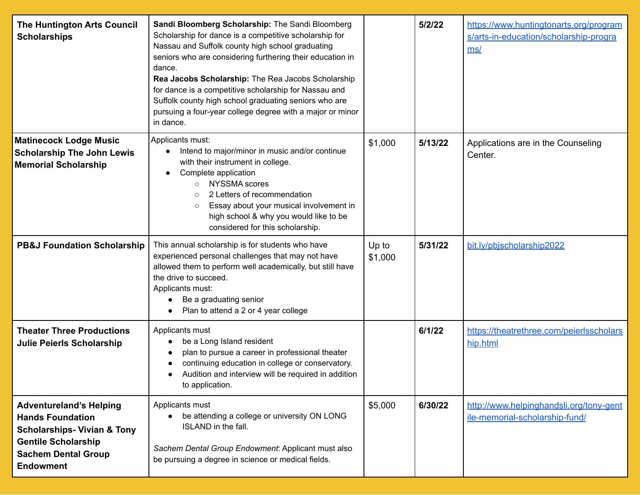| The Huntington Arts Council<br><b>Scholarships</b>                                                                                                                                  | Sandi Bloomberg Scholarship: The Sandi Bloomberg<br>Scholarship for dance is a competitive scholarship for<br>Nassau and Suffolk county high school graduating<br>seniors who are considering furthering their education in<br>dance.<br>Rea Jacobs Scholarship: The Rea Jacobs Scholarship<br>for dance is a competitive scholarship for Nassau and<br>Suffolk county high school graduating seniors who are<br>pursuing a four-year college degree with a major or minor<br>in dance. |                  | 5/2/22  | https://www.huntingtonarts.org/program<br>s/arts-in-education/scholarship-progra<br>ms/ |
|-------------------------------------------------------------------------------------------------------------------------------------------------------------------------------------|-----------------------------------------------------------------------------------------------------------------------------------------------------------------------------------------------------------------------------------------------------------------------------------------------------------------------------------------------------------------------------------------------------------------------------------------------------------------------------------------|------------------|---------|-----------------------------------------------------------------------------------------|
| <b>Matinecock Lodge Music</b><br><b>Scholarship The John Lewis</b><br><b>Memorial Scholarship</b>                                                                                   | Applicants must:<br>Intend to major/minor in music and/or continue<br>with their instrument in college.<br>Complete application<br><b>NYSSMA</b> scores<br>$\circ$<br>2 Letters of recommendation<br>$\circ$<br>Essay about your musical involvement in<br>$\circ$<br>high school & why you would like to be<br>considered for this scholarship.                                                                                                                                        | \$1,000          | 5/13/22 | Applications are in the Counseling<br>Center.                                           |
| <b>PB&amp;J Foundation Scholarship</b>                                                                                                                                              | This annual scholarship is for students who have<br>experienced personal challenges that may not have<br>allowed them to perform well academically, but still have<br>the drive to succeed.<br>Applicants must:<br>Be a graduating senior<br>Plan to attend a 2 or 4 year college                                                                                                                                                                                                       | Up to<br>\$1,000 | 5/31/22 | bit.ly/pbjscholarship2022                                                               |
| <b>Theater Three Productions</b><br><b>Julie Peierls Scholarship</b>                                                                                                                | Applicants must<br>be a Long Island resident<br>plan to pursue a career in professional theater<br>continuing education in college or conservatory.<br>Audition and interview will be required in addition<br>to application.                                                                                                                                                                                                                                                           |                  | 6/1/22  | https://theatrethree.com/peierlsscholars<br>hip.html                                    |
| <b>Adventureland's Helping</b><br><b>Hands Foundation</b><br><b>Scholarships- Vivian &amp; Tony</b><br><b>Gentile Scholarship</b><br><b>Sachem Dental Group</b><br><b>Endowment</b> | Applicants must<br>be attending a college or university ON LONG<br>ISLAND in the fall.<br>Sachem Dental Group Endowment: Applicant must also<br>be pursuing a degree in science or medical fields.                                                                                                                                                                                                                                                                                      | \$5,000          | 6/30/22 | http://www.helpinghandsli.org/tony-gent<br>ile-memorial-scholarship-fund/               |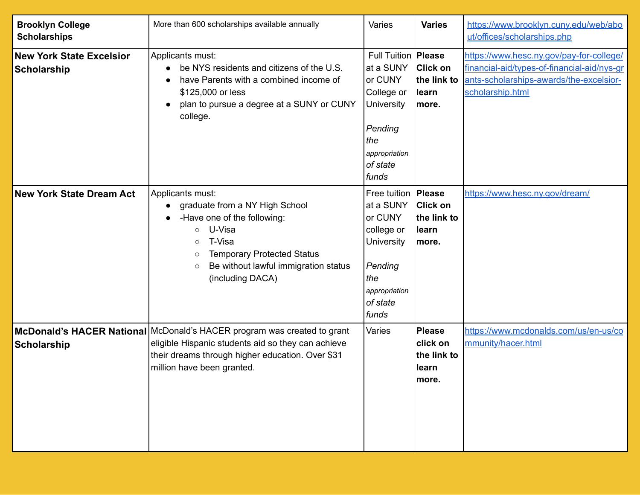| <b>Brooklyn College</b><br><b>Scholarships</b>        | More than 600 scholarships available annually                                                                                                                                                                                                                  | Varies                                                                                                                                   | <b>Varies</b>                                                       | https://www.brooklyn.cuny.edu/web/abo<br>ut/offices/scholarships.php                                                                                   |
|-------------------------------------------------------|----------------------------------------------------------------------------------------------------------------------------------------------------------------------------------------------------------------------------------------------------------------|------------------------------------------------------------------------------------------------------------------------------------------|---------------------------------------------------------------------|--------------------------------------------------------------------------------------------------------------------------------------------------------|
| <b>New York State Excelsior</b><br><b>Scholarship</b> | Applicants must:<br>be NYS residents and citizens of the U.S.<br>have Parents with a combined income of<br>\$125,000 or less<br>plan to pursue a degree at a SUNY or CUNY<br>college.                                                                          | Full Tuition   Please<br>at a SUNY<br>or CUNY<br>College or<br><b>University</b><br>Pending<br>the<br>appropriation<br>of state<br>funds | <b>Click on</b><br>the link to<br><b>learn</b><br>more.             | https://www.hesc.ny.gov/pay-for-college/<br>financial-aid/types-of-financial-aid/nys-gr<br>ants-scholarships-awards/the-excelsior-<br>scholarship.html |
| <b>New York State Dream Act</b>                       | Applicants must:<br>graduate from a NY High School<br>-Have one of the following:<br>U-Visa<br>$\circ$<br>T-Visa<br>$\circ$<br><b>Temporary Protected Status</b><br>$\circlearrowright$<br>Be without lawful immigration status<br>$\circ$<br>(including DACA) | Free tuition<br>at a SUNY<br>or CUNY<br>college or<br>University<br>Pending<br>the<br>appropriation<br>of state<br>funds                 | Please<br><b>Click on</b><br>the link to<br><b>learn</b><br>more.   | https://www.hesc.ny.gov/dream/                                                                                                                         |
| <b>Scholarship</b>                                    | McDonald's HACER National McDonald's HACER program was created to grant<br>eligible Hispanic students aid so they can achieve<br>their dreams through higher education. Over \$31<br>million have been granted.                                                | Varies                                                                                                                                   | <b>Please</b><br><b>click</b> on<br>the link to<br>llearn<br>∣more. | https://www.mcdonalds.com/us/en-us/co<br>mmunity/hacer.html                                                                                            |